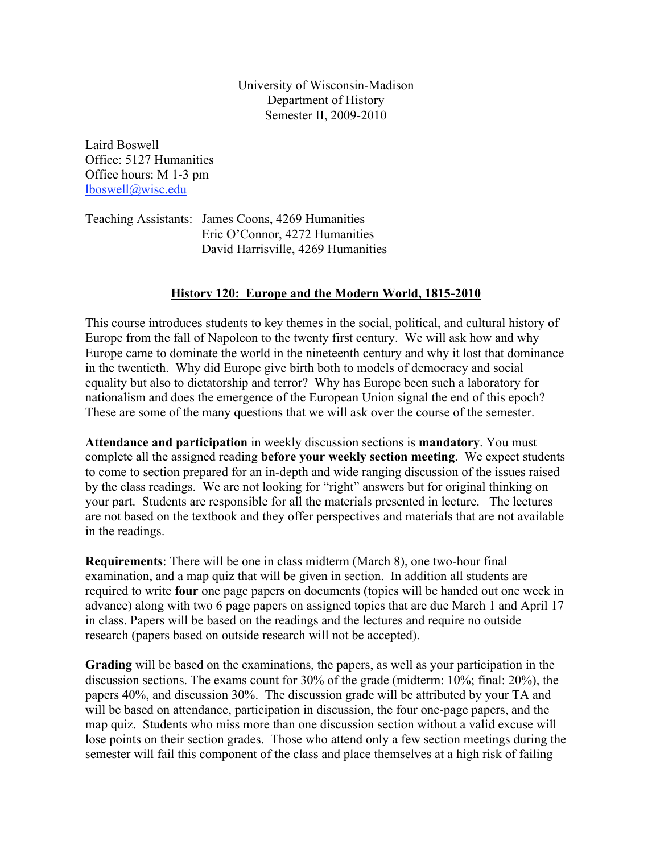University of Wisconsin-Madison Department of History Semester II, 2009-2010

Laird Boswell Office: 5127 Humanities Office hours: M 1-3 pm lboswell@wisc.edu

Teaching Assistants: James Coons, 4269 Humanities Eric O'Connor, 4272 Humanities David Harrisville, 4269 Humanities

# **History 120: Europe and the Modern World, 1815-2010**

This course introduces students to key themes in the social, political, and cultural history of Europe from the fall of Napoleon to the twenty first century. We will ask how and why Europe came to dominate the world in the nineteenth century and why it lost that dominance in the twentieth. Why did Europe give birth both to models of democracy and social equality but also to dictatorship and terror? Why has Europe been such a laboratory for nationalism and does the emergence of the European Union signal the end of this epoch? These are some of the many questions that we will ask over the course of the semester.

**Attendance and participation** in weekly discussion sections is **mandatory**. You must complete all the assigned reading **before your weekly section meeting**. We expect students to come to section prepared for an in-depth and wide ranging discussion of the issues raised by the class readings. We are not looking for "right" answers but for original thinking on your part. Students are responsible for all the materials presented in lecture. The lectures are not based on the textbook and they offer perspectives and materials that are not available in the readings.

**Requirements**: There will be one in class midterm (March 8), one two-hour final examination, and a map quiz that will be given in section. In addition all students are required to write **four** one page papers on documents (topics will be handed out one week in advance) along with two 6 page papers on assigned topics that are due March 1 and April 17 in class. Papers will be based on the readings and the lectures and require no outside research (papers based on outside research will not be accepted).

**Grading** will be based on the examinations, the papers, as well as your participation in the discussion sections. The exams count for 30% of the grade (midterm: 10%; final: 20%), the papers 40%, and discussion 30%. The discussion grade will be attributed by your TA and will be based on attendance, participation in discussion, the four one-page papers, and the map quiz. Students who miss more than one discussion section without a valid excuse will lose points on their section grades. Those who attend only a few section meetings during the semester will fail this component of the class and place themselves at a high risk of failing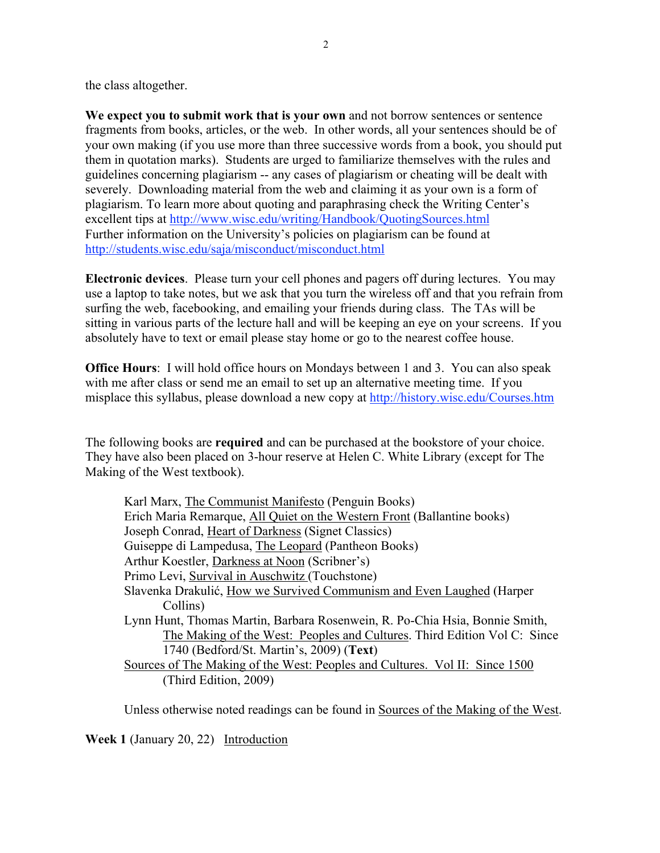the class altogether.

**We expect you to submit work that is your own** and not borrow sentences or sentence fragments from books, articles, or the web. In other words, all your sentences should be of your own making (if you use more than three successive words from a book, you should put them in quotation marks). Students are urged to familiarize themselves with the rules and guidelines concerning plagiarism -- any cases of plagiarism or cheating will be dealt with severely. Downloading material from the web and claiming it as your own is a form of plagiarism. To learn more about quoting and paraphrasing check the Writing Center's excellent tips at http://www.wisc.edu/writing/Handbook/QuotingSources.html Further information on the University's policies on plagiarism can be found at http://students.wisc.edu/saja/misconduct/misconduct.html

**Electronic devices**. Please turn your cell phones and pagers off during lectures. You may use a laptop to take notes, but we ask that you turn the wireless off and that you refrain from surfing the web, facebooking, and emailing your friends during class. The TAs will be sitting in various parts of the lecture hall and will be keeping an eye on your screens. If you absolutely have to text or email please stay home or go to the nearest coffee house.

**Office Hours**: I will hold office hours on Mondays between 1 and 3. You can also speak with me after class or send me an email to set up an alternative meeting time. If you misplace this syllabus, please download a new copy at http://history.wisc.edu/Courses.htm

The following books are **required** and can be purchased at the bookstore of your choice. They have also been placed on 3-hour reserve at Helen C. White Library (except for The Making of the West textbook).

| Karl Marx, The Communist Manifesto (Penguin Books)                          |
|-----------------------------------------------------------------------------|
| Erich Maria Remarque, All Quiet on the Western Front (Ballantine books)     |
| Joseph Conrad, Heart of Darkness (Signet Classics)                          |
| Guiseppe di Lampedusa, The Leopard (Pantheon Books)                         |
| Arthur Koestler, Darkness at Noon (Scribner's)                              |
| Primo Levi, Survival in Auschwitz (Touchstone)                              |
| Slavenka Drakulić, How we Survived Communism and Even Laughed (Harper       |
| Collins)                                                                    |
| Lynn Hunt, Thomas Martin, Barbara Rosenwein, R. Po-Chia Hsia, Bonnie Smith, |
| The Making of the West: Peoples and Cultures. Third Edition Vol C: Since    |
| 1740 (Bedford/St. Martin's, 2009) (Text)                                    |
| Sources of The Making of the West: Peoples and Cultures. Vol II: Since 1500 |
| (Third Edition, 2009)                                                       |
|                                                                             |

Unless otherwise noted readings can be found in Sources of the Making of the West.

**Week 1** (January 20, 22) Introduction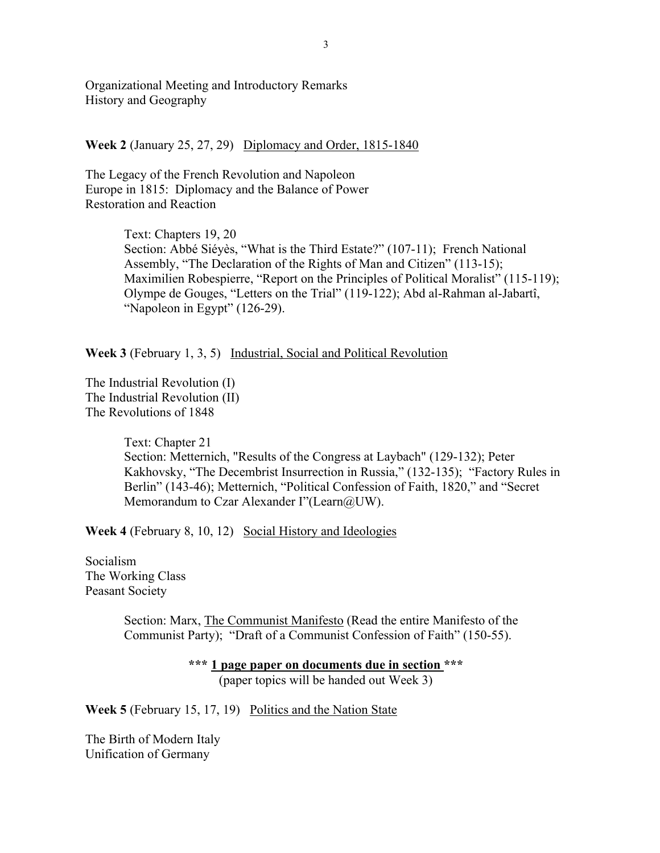Organizational Meeting and Introductory Remarks History and Geography

**Week 2** (January 25, 27, 29) Diplomacy and Order, 1815-1840

The Legacy of the French Revolution and Napoleon Europe in 1815: Diplomacy and the Balance of Power Restoration and Reaction

> Text: Chapters 19, 20 Section: Abbé Siéyès, "What is the Third Estate?" (107-11); French National Assembly, "The Declaration of the Rights of Man and Citizen" (113-15); Maximilien Robespierre, "Report on the Principles of Political Moralist" (115-119); Olympe de Gouges, "Letters on the Trial" (119-122); Abd al-Rahman al-Jabartî, "Napoleon in Egypt" (126-29).

**Week 3** (February 1, 3, 5) Industrial, Social and Political Revolution

The Industrial Revolution (I) The Industrial Revolution (II) The Revolutions of 1848

> Text: Chapter 21 Section: Metternich, "Results of the Congress at Laybach" (129-132); Peter Kakhovsky, "The Decembrist Insurrection in Russia," (132-135); "Factory Rules in Berlin" (143-46); Metternich, "Political Confession of Faith, 1820," and "Secret Memorandum to Czar Alexander I"(Learn@UW).

**Week 4** (February 8, 10, 12) Social History and Ideologies

Socialism The Working Class Peasant Society

> Section: Marx, The Communist Manifesto (Read the entire Manifesto of the Communist Party); "Draft of a Communist Confession of Faith" (150-55).

> > **\*\*\* 1 page paper on documents due in section \*\*\***

(paper topics will be handed out Week 3)

**Week 5** (February 15, 17, 19) Politics and the Nation State

The Birth of Modern Italy Unification of Germany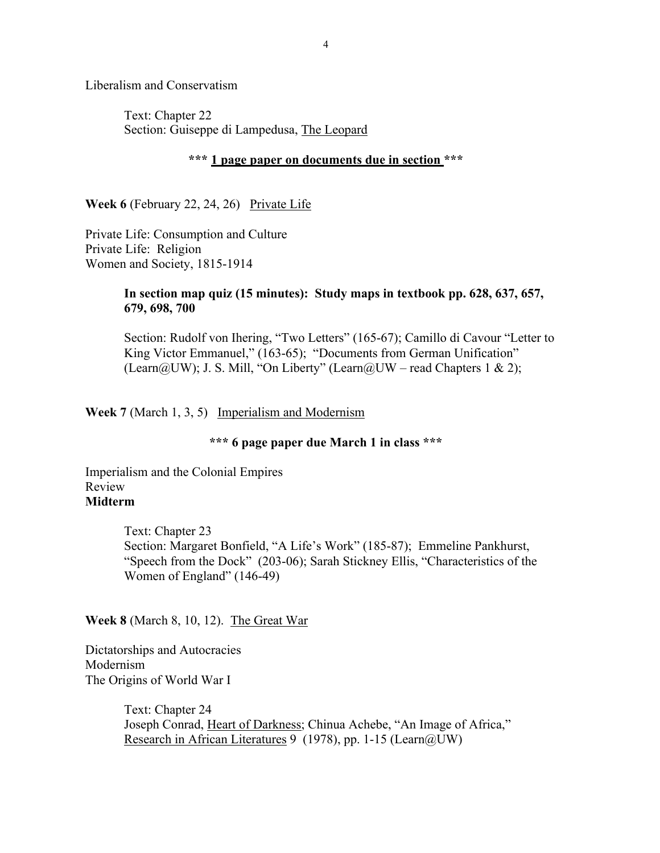Liberalism and Conservatism

Text: Chapter 22 Section: Guiseppe di Lampedusa, The Leopard

#### **\*\*\* 1 page paper on documents due in section \*\*\***

**Week 6** (February 22, 24, 26) Private Life

Private Life: Consumption and Culture Private Life: Religion Women and Society, 1815-1914

### **In section map quiz (15 minutes): Study maps in textbook pp. 628, 637, 657, 679, 698, 700**

Section: Rudolf von Ihering, "Two Letters" (165-67); Camillo di Cavour "Letter to King Victor Emmanuel," (163-65); "Documents from German Unification" (Learn@UW); J. S. Mill, "On Liberty" (Learn@UW – read Chapters 1 & 2);

**Week 7** (March 1, 3, 5) Imperialism and Modernism

## **\*\*\* 6 page paper due March 1 in class \*\*\***

Imperialism and the Colonial Empires Review **Midterm**

> Text: Chapter 23 Section: Margaret Bonfield, "A Life's Work" (185-87); Emmeline Pankhurst, "Speech from the Dock" (203-06); Sarah Stickney Ellis, "Characteristics of the Women of England" (146-49)

**Week 8** (March 8, 10, 12). The Great War

Dictatorships and Autocracies Modernism The Origins of World War I

> Text: Chapter 24 Joseph Conrad, Heart of Darkness; Chinua Achebe, "An Image of Africa," Research in African Literatures 9 (1978), pp. 1-15 (Learn@UW)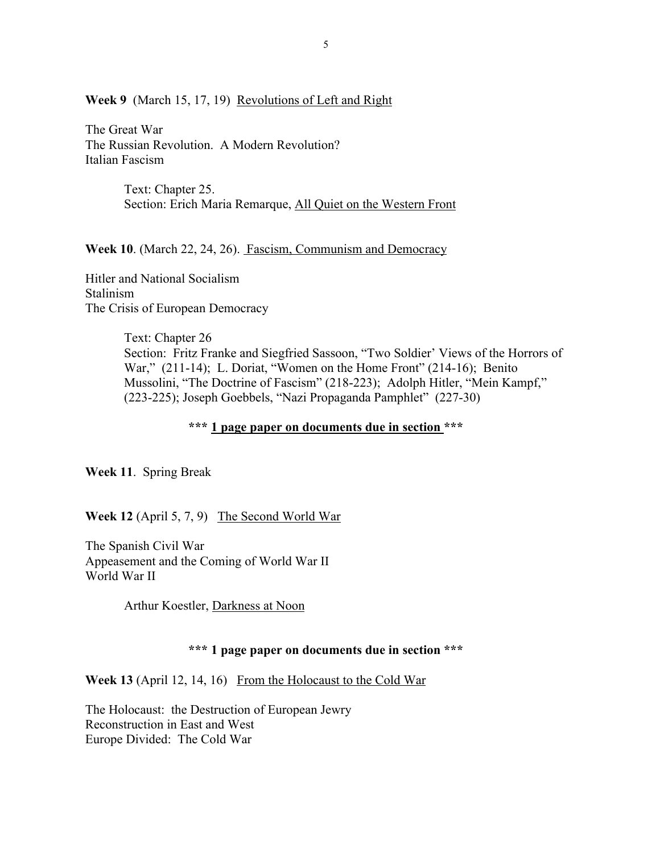**Week 9** (March 15, 17, 19) Revolutions of Left and Right

The Great War The Russian Revolution. A Modern Revolution? Italian Fascism

> Text: Chapter 25. Section: Erich Maria Remarque, All Quiet on the Western Front

**Week 10**. (March 22, 24, 26). Fascism, Communism and Democracy

Hitler and National Socialism Stalinism The Crisis of European Democracy

> Text: Chapter 26 Section: Fritz Franke and Siegfried Sassoon, "Two Soldier' Views of the Horrors of War," (211-14); L. Doriat, "Women on the Home Front" (214-16); Benito Mussolini, "The Doctrine of Fascism" (218-223); Adolph Hitler, "Mein Kampf," (223-225); Joseph Goebbels, "Nazi Propaganda Pamphlet" (227-30)

> > **\*\*\* 1 page paper on documents due in section \*\*\***

**Week 11**. Spring Break

**Week 12** (April 5, 7, 9) The Second World War

The Spanish Civil War Appeasement and the Coming of World War II World War II

Arthur Koestler, Darkness at Noon

#### **\*\*\* 1 page paper on documents due in section \*\*\***

**Week 13** (April 12, 14, 16) From the Holocaust to the Cold War

The Holocaust: the Destruction of European Jewry Reconstruction in East and West Europe Divided: The Cold War